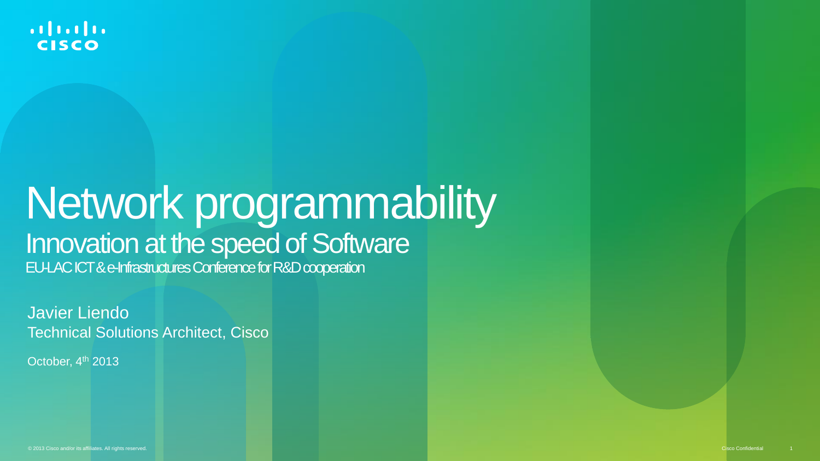

#### Network programmability Innovation at the speed of Software EU-LAC ICT & e-Infrastructures Conference for R&D cooperation

Javier Liendo Technical Solutions Architect, Cisco

October, 4<sup>th</sup> 2013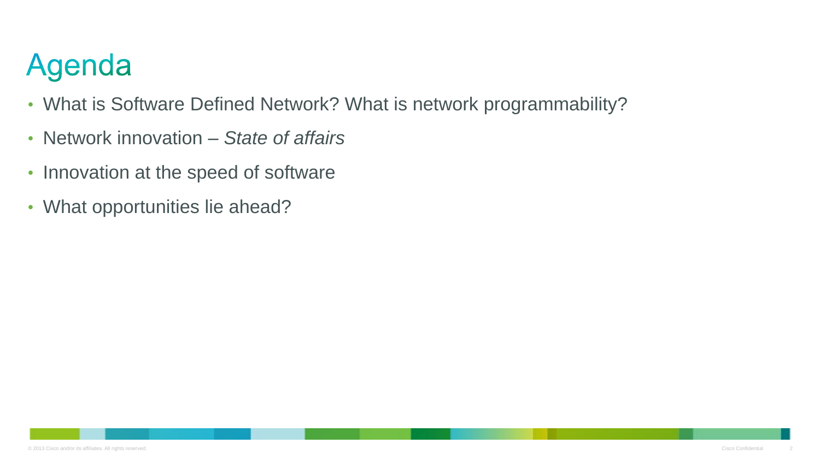## Agenda

- What is Software Defined Network? What is network programmability?
- Network innovation *State of affairs*
- Innovation at the speed of software
- What opportunities lie ahead?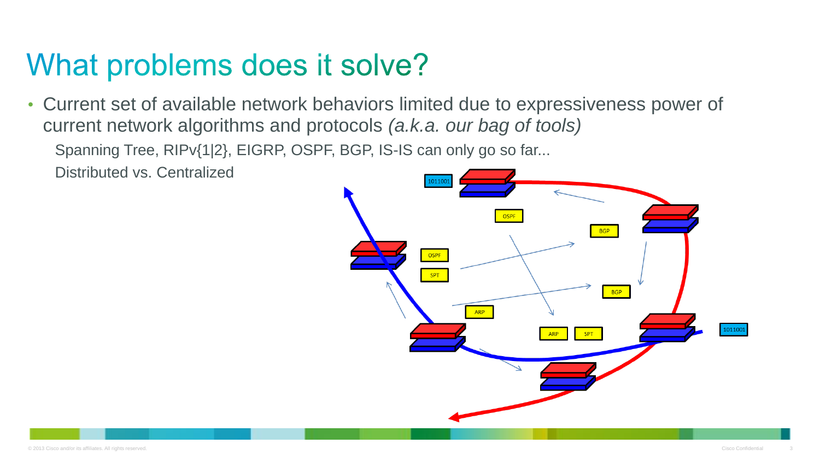#### What problems does it solve?

• Current set of available network behaviors limited due to expressiveness power of current network algorithms and protocols *(a.k.a. our bag of tools)*

Spanning Tree, RIPv{1|2}, EIGRP, OSPF, BGP, IS-IS can only go so far...

Distributed vs. Centralized

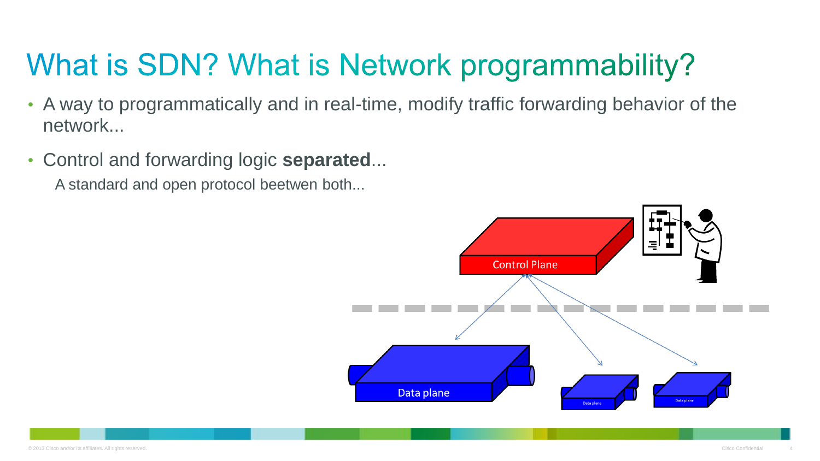# What is SDN? What is Network programmability?

- A way to programmatically and in real-time, modify traffic forwarding behavior of the network...
- Control and forwarding logic **separated**...

A standard and open protocol beetwen both...

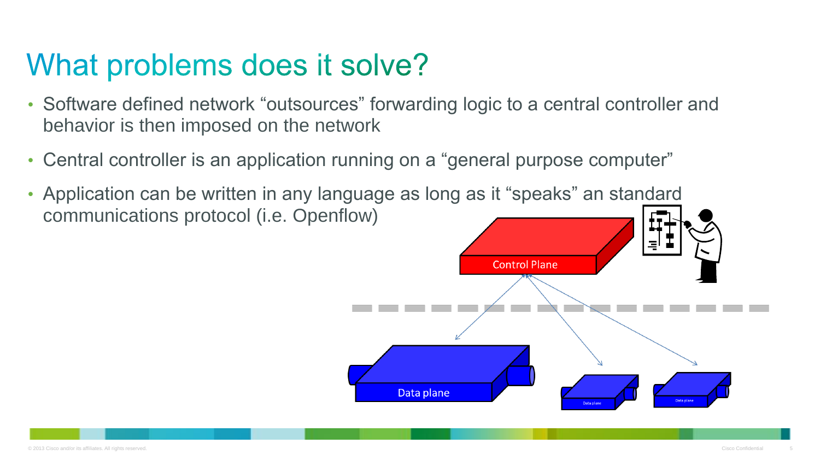#### What problems does it solve?

- Software defined network "outsources" forwarding logic to a central controller and behavior is then imposed on the network
- Central controller is an application running on a "general purpose computer"
- Application can be written in any language as long as it "speaks" an standard communications protocol (i.e. Openflow)

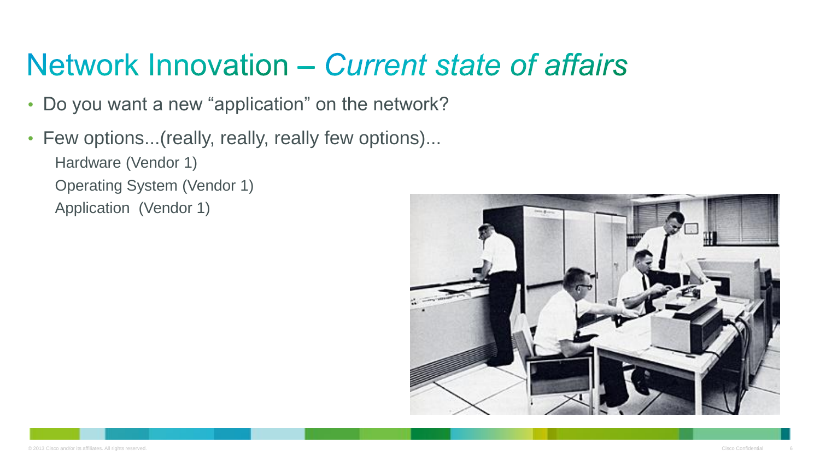### Network Innovation – Current state of affairs

- Do you want a new "application" on the network?
- Few options...(really, really, really few options)... Hardware (Vendor 1) Operating System (Vendor 1) Application (Vendor 1)

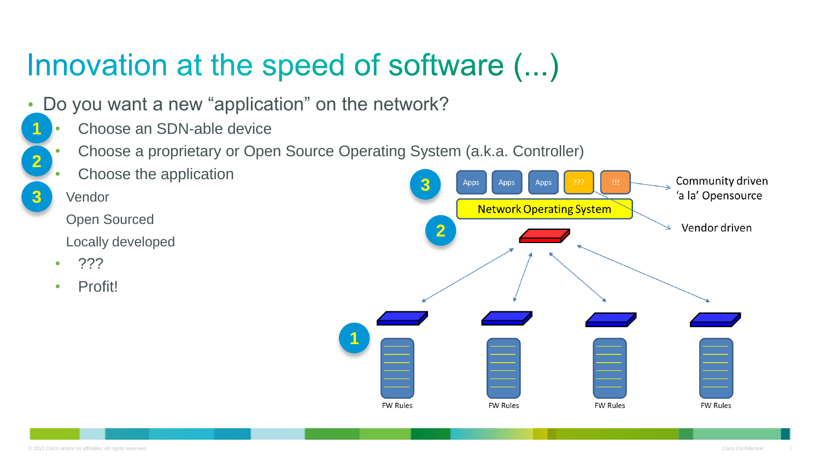## Innovation at the speed of software (...)

- Do you want a new "application" on the network?
	- Choose an SDN-able device
	- Choose a proprietary or Open Source Operating System (a.k.a. Controller)

**1**

- Choose the application
- Vendor

**1**

**2**

**3**

- Open Sourced
- Locally developed
- ???
- Profit!

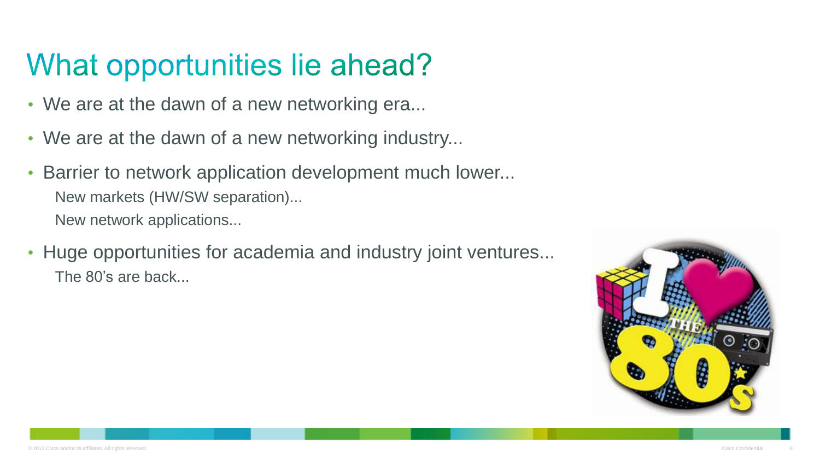### What opportunities lie ahead?

- We are at the dawn of a new networking era...
- We are at the dawn of a new networking industry...
- Barrier to network application development much lower... New markets (HW/SW separation)... New network applications...
- Huge opportunities for academia and industry joint ventures... The 80's are back...